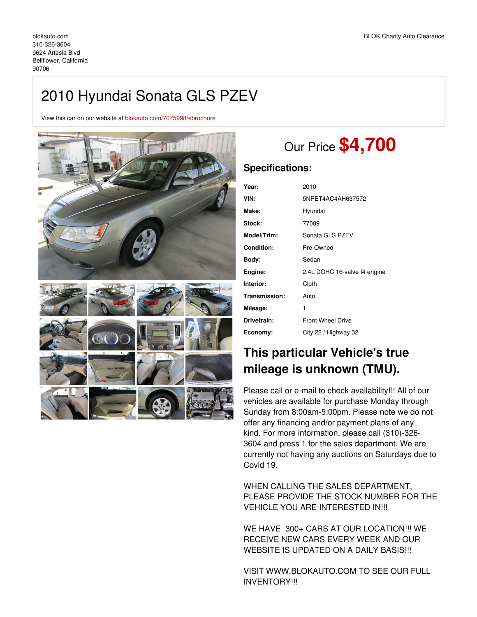## 2010 Hyundai Sonata GLS PZEV

View this car on our website at [blokauto.com/7075998/ebrochure](https://blokauto.com/vehicle/7075998/2010-hyundai-sonata-gls-pzev-bellflower-california-90706/7075998/ebrochure)



# Our Price **\$4,700**

## **Specifications:**

| Year:              | 2010                         |  |  |
|--------------------|------------------------------|--|--|
|                    |                              |  |  |
| VIN:               | 5NPET4AC4AH637572            |  |  |
| Make:              | Hyundai                      |  |  |
| Stock:             | 77089                        |  |  |
| <b>Model/Trim:</b> | Sonata GLS PZEV              |  |  |
| Condition:         | Pre-Owned                    |  |  |
| Body:              | Sedan                        |  |  |
| Engine:            | 2.4L DOHC 16-valve I4 engine |  |  |
| Interior:          | Cloth                        |  |  |
| Transmission:      | Auto                         |  |  |
| Mileage:           | 1                            |  |  |
| Drivetrain:        | <b>Front Wheel Drive</b>     |  |  |
| Economy:           | City 22 / Highway 32         |  |  |
|                    |                              |  |  |

## **This particular Vehicle's true mileage is unknown (TMU).**

Please call or e-mail to check availability!!! All of our vehicles are available for purchase Monday through Sunday from 8:00am-5:00pm. Please note we do not offer any financing and/or payment plans of any kind. For more information, please call (310)-326- 3604 and press 1 for the sales department. We are currently not having any auctions on Saturdays due to Covid 19.

WHEN CALLING THE SALES DEPARTMENT, PLEASE PROVIDE THE STOCK NUMBER FOR THE VEHICLE YOU ARE INTERESTED IN!!!

WE HAVE 300+ CARS AT OUR LOCATION!!! WE RECEIVE NEW CARS EVERY WEEK AND OUR WEBSITE IS UPDATED ON A DAILY BASIS !!!

VISIT WWW.BLOKAUTO.COM TO SEE OUR FULL INVENTORY!!!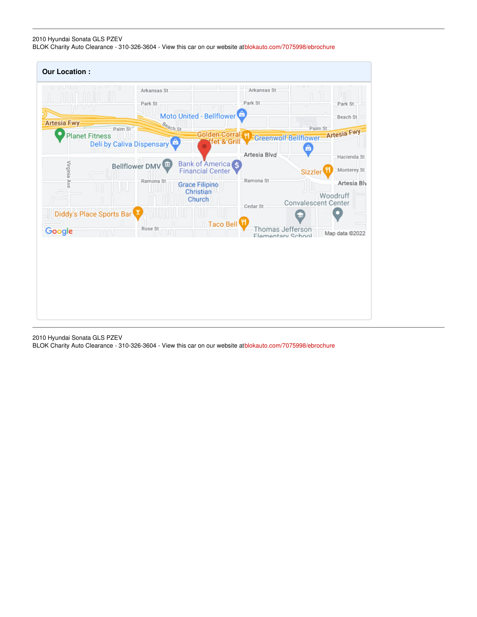## 2010 Hyundai Sonata GLS PZEV

BLOK Charity Auto Clearance - 310-326-3604 - View this car on our website at[blokauto.com/7075998/ebrochure](https://blokauto.com/vehicle/7075998/2010-hyundai-sonata-gls-pzev-bellflower-california-90706/7075998/ebrochure)

| <b>Our Location:</b>     |                                                  |                                                     |                                       |                                                             |
|--------------------------|--------------------------------------------------|-----------------------------------------------------|---------------------------------------|-------------------------------------------------------------|
| U U U U U<br>n Tul       | Arkansas St<br>Park St                           |                                                     | Arkansas St<br>Park St                | <b>Inn</b><br>Park St                                       |
| Artesia Fwy              |                                                  | Moto United - Bellflower <sup>c</sup>               |                                       | Beach St                                                    |
| <b>Planet Fitness</b>    | Beach St<br>Palm St<br>Deli by Caliva Dispensary | fet & Grill                                         |                                       | Palm St<br>Colden Corral 1 Greenwolf Bellflower Artesia Fwy |
| Virginia Ave             | Bellflower DMV                                   | Bank of America<br><b>Financial Center</b>          | Artesia Blvd                          | Hacienda St<br>Monterey St<br><b>Sizzler</b>                |
|                          | Ramona St                                        | <b>Grace Filipino</b><br>Christian<br><b>Church</b> | Ramona St<br>Cedar St                 | Artesia Blv<br>Woodruff<br><b>Convalescent Center</b>       |
| Diddy's Place Sports Bar |                                                  | Taco Bell                                           |                                       |                                                             |
| Google                   | Rose St<br>TUT<br>ZП                             |                                                     | Thomas Jefferson<br>Flamentary School | Map data @2022                                              |
|                          |                                                  |                                                     |                                       |                                                             |

2010 Hyundai Sonata GLS PZEV

BLOK Charity Auto Clearance - 310-326-3604 - View this car on our website at[blokauto.com/7075998/ebrochure](https://blokauto.com/vehicle/7075998/2010-hyundai-sonata-gls-pzev-bellflower-california-90706/7075998/ebrochure)